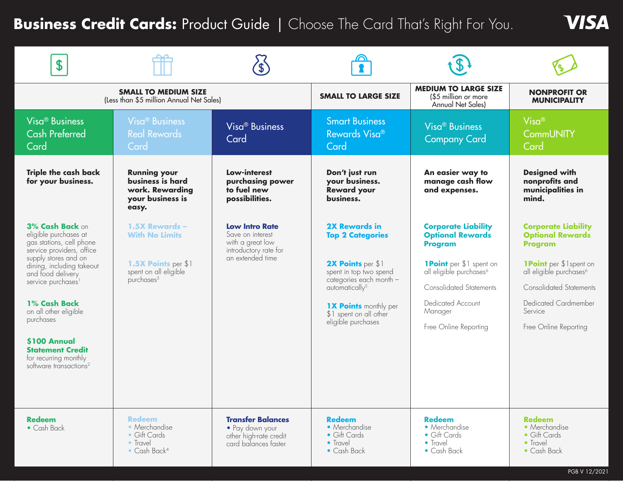# **Business Credit Cards: Product Guide | Choose The Card That's Right For You.**

| \$                                                                                                                                                                                                                                                                                                                                                                            |                                                                                                                   |                                                                                                            |                                                                                                                                                                                                                                         |                                                                                                                                                                                                                                             |                                                                                                                                                                                                                                        |
|-------------------------------------------------------------------------------------------------------------------------------------------------------------------------------------------------------------------------------------------------------------------------------------------------------------------------------------------------------------------------------|-------------------------------------------------------------------------------------------------------------------|------------------------------------------------------------------------------------------------------------|-----------------------------------------------------------------------------------------------------------------------------------------------------------------------------------------------------------------------------------------|---------------------------------------------------------------------------------------------------------------------------------------------------------------------------------------------------------------------------------------------|----------------------------------------------------------------------------------------------------------------------------------------------------------------------------------------------------------------------------------------|
| <b>SMALL TO MEDIUM SIZE</b><br>(Less than \$5 million Annual Net Sales)                                                                                                                                                                                                                                                                                                       |                                                                                                                   |                                                                                                            | <b>SMALL TO LARGE SIZE</b>                                                                                                                                                                                                              | <b>MEDIUM TO LARGE SIZE</b><br>(\$5 million or more<br>Annual Net Sales)                                                                                                                                                                    | <b>NONPROFIT OR</b><br><b>MUNICIPALITY</b>                                                                                                                                                                                             |
| Visa <sup>®</sup> Business<br><b>Cash Preferred</b><br>Card                                                                                                                                                                                                                                                                                                                   | <b>Visa<sup>®</sup></b> Business<br><b>Real Rewards</b><br>Card                                                   | Visa <sup>®</sup> Business<br>Card                                                                         | <b>Smart Business</b><br>Rewards Visa®<br>Card                                                                                                                                                                                          | Visa <sup>®</sup> Business<br><b>Company Card</b>                                                                                                                                                                                           | $Visa^@$<br><b>CommUNITY</b><br>Card                                                                                                                                                                                                   |
| <b>Triple the cash back</b><br>for your business.                                                                                                                                                                                                                                                                                                                             | <b>Running your</b><br>business is hard<br>work. Rewarding<br>your business is<br>easy.                           | Low-interest<br>purchasing power<br>to fuel new<br>possibilities.                                          | Don't just run<br>your business.<br><b>Reward your</b><br>business.                                                                                                                                                                     | An easier way to<br>manage cash flow<br>and expenses.                                                                                                                                                                                       | <b>Designed with</b><br>nonprofits and<br>municipalities in<br>mind.                                                                                                                                                                   |
| 3% Cash Back on<br>eligible purchases at<br>gas stations, cell phone<br>service providers, office<br>supply stores and on<br>dining, including takeout<br>and food delivery<br>service purchases <sup>1</sup><br>1% Cash Back<br>on all other eligible<br>purchases<br>\$100 Annual<br><b>Statement Credit</b><br>for recurring monthly<br>software transactions <sup>2</sup> | 1.5X Rewards -<br><b>With No Limits</b><br>1.5X Points per \$1<br>spent on all eligible<br>purchases <sup>3</sup> | <b>Low Intro Rate</b><br>Save on interest<br>with a great low<br>introductory rate for<br>an extended time | <b>2X Rewards in</b><br><b>Top 2 Categories</b><br>2X Points per \$1<br>spent in top two spend<br>categories each month -<br>automatically <sup>5</sup><br><b>1X Points monthly per</b><br>\$1 spent on all other<br>eligible purchases | <b>Corporate Liability</b><br><b>Optional Rewards</b><br><b>Program</b><br><b>1Point</b> per \$1 spent on<br>all eligible purchases <sup>6</sup><br><b>Consolidated Statements</b><br>Dedicated Account<br>Manager<br>Free Online Reporting | <b>Corporate Liability</b><br><b>Optional Rewards</b><br>Program<br><b>1Point</b> per \$1spent on<br>all eligible purchases <sup>6</sup><br><b>Consolidated Statements</b><br>Dedicated Cardmember<br>Service<br>Free Online Reporting |
| <b>Redeem</b><br>$\bullet$ Cash Back                                                                                                                                                                                                                                                                                                                                          | <b>Redeem</b><br>• Merchandise<br>• Gift Cards<br>• Travel<br>$\bullet$ Cash Back <sup>4</sup>                    | <b>Transfer Balances</b><br>• Pay down your<br>other high-rate credit<br>card balances faster              | <b>Redeem</b><br>• Merchandise<br>• Gift Cards<br>• Travel<br>• Cash Back                                                                                                                                                               | <b>Redeem</b><br>• Merchandise<br>• Gift Cards<br>• Travel<br>• Cash Back                                                                                                                                                                   | <b>Redeem</b><br>• Merchandise<br>• Gift Cards<br>• Travel<br>• Cash Back                                                                                                                                                              |